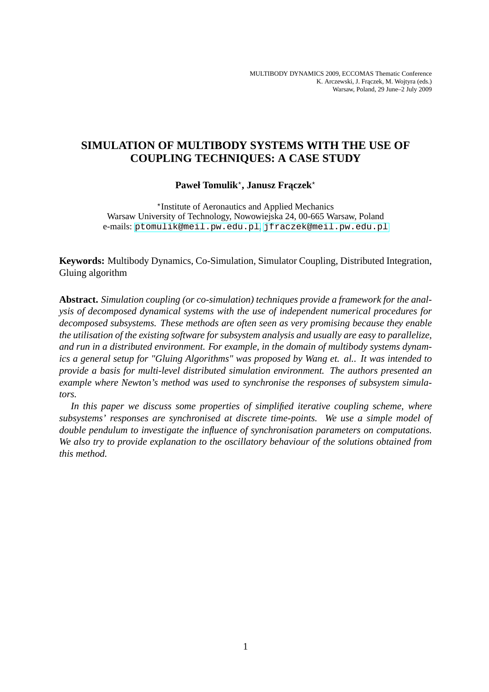# **SIMULATION OF MULTIBODY SYSTEMS WITH THE USE OF COUPLING TECHNIQUES: A CASE STUDY**

# $\mathbf{P}$ aweł Tomulik\*, Janusz Frączek\*

⋆ Institute of Aeronautics and Applied Mechanics Warsaw University of Technology, Nowowiejska 24, 00-665 Warsaw, Poland e-mails: <ptomulik@meil.pw.edu.pl>, <jfraczek@meil.pw.edu.pl>

**Keywords:** Multibody Dynamics, Co-Simulation, Simulator Coupling, Distributed Integration, Gluing algorithm

**Abstract.** *Simulation coupling (or co-simulation) techniques provide a framework for the analysis of decomposed dynamical systems with the use of independent numerical procedures for decomposed subsystems. These methods are often seen as very promising because they enable the utilisation of the existing software for subsystem analysis and usually are easy to parallelize, and run in a distributed environment. For example, in the domain of multibody systems dynamics a general setup for "Gluing Algorithms" was proposed by Wang et. al.. It was intended to provide a basis for multi-level distributed simulation environment. The authors presented an example where Newton's method was used to synchronise the responses of subsystem simulators.*

*In this paper we discuss some properties of simplified iterative coupling scheme, where subsystems' responses are synchronised at discrete time-points. We use a simple model of double pendulum to investigate the influence of synchronisation parameters on computations. We also try to provide explanation to the oscillatory behaviour of the solutions obtained from this method.*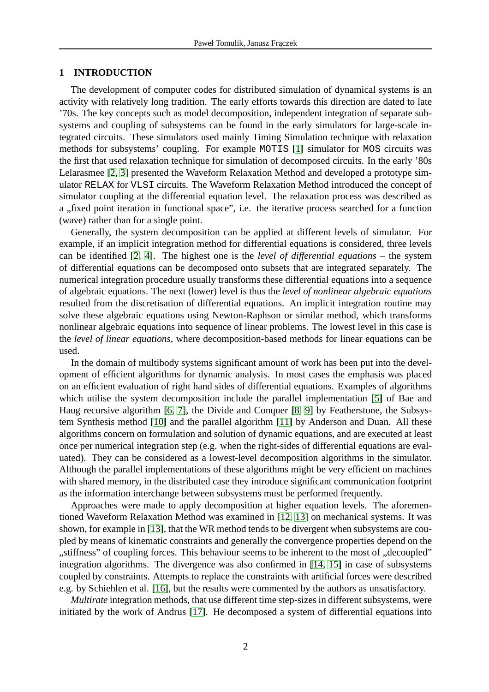#### **1 INTRODUCTION**

The development of computer codes for distributed simulation of dynamical systems is an activity with relatively long tradition. The early efforts towards this direction are dated to late '70s. The key concepts such as model decomposition, independent integration of separate subsystems and coupling of subsystems can be found in the early simulators for large-scale integrated circuits. These simulators used mainly Timing Simulation technique with relaxation methods for subsystems' coupling. For example MOTIS [\[1\]](#page-17-0) simulator for MOS circuits was the first that used relaxation technique for simulation of decomposed circuits. In the early '80s Lelarasmee [\[2,](#page-17-1) [3\]](#page-18-0) presented the Waveform Relaxation Method and developed a prototype simulator RELAX for VLSI circuits. The Waveform Relaxation Method introduced the concept of simulator coupling at the differential equation level. The relaxation process was described as a "fixed point iteration in functional space", i.e. the iterative process searched for a function (wave) rather than for a single point.

Generally, the system decomposition can be applied at different levels of simulator. For example, if an implicit integration method for differential equations is considered, three levels can be identified [\[2,](#page-17-1) [4\]](#page-18-1). The highest one is the *level of differential equations* – the system of differential equations can be decomposed onto subsets that are integrated separately. The numerical integration procedure usually transforms these differential equations into a sequence of algebraic equations. The next (lower) level is thus the *level of nonlinear algebraic equations* resulted from the discretisation of differential equations. An implicit integration routine may solve these algebraic equations using Newton-Raphson or similar method, which transforms nonlinear algebraic equations into sequence of linear problems. The lowest level in this case is the *level of linear equations*, where decomposition-based methods for linear equations can be used.

In the domain of multibody systems significant amount of work has been put into the development of efficient algorithms for dynamic analysis. In most cases the emphasis was placed on an efficient evaluation of right hand sides of differential equations. Examples of algorithms which utilise the system decomposition include the parallel implementation [\[5\]](#page-18-2) of Bae and Haug recursive algorithm [\[6,](#page-18-3) [7\]](#page-18-4), the Divide and Conquer [\[8,](#page-18-5) [9\]](#page-18-6) by Featherstone, the Subsystem Synthesis method [\[10\]](#page-18-7) and the parallel algorithm [\[11\]](#page-18-8) by Anderson and Duan. All these algorithms concern on formulation and solution of dynamic equations, and are executed at least once per numerical integration step (e.g. when the right-sides of differential equations are evaluated). They can be considered as a lowest-level decomposition algorithms in the simulator. Although the parallel implementations of these algorithms might be very efficient on machines with shared memory, in the distributed case they introduce significant communication footprint as the information interchange between subsystems must be performed frequently.

Approaches were made to apply decomposition at higher equation levels. The aforementioned Waveform Relaxation Method was examined in [\[12,](#page-18-9) [13\]](#page-18-10) on mechanical systems. It was shown, for example in [\[13\]](#page-18-10), that the WR method tends to be divergent when subsystems are coupled by means of kinematic constraints and generally the convergence properties depend on the "stiffness" of coupling forces. This behaviour seems to be inherent to the most of "decoupled" integration algorithms. The divergence was also confirmed in [\[14,](#page-18-11) [15\]](#page-18-12) in case of subsystems coupled by constraints. Attempts to replace the constraints with artificial forces were described e.g. by Schiehlen et al. [\[16\]](#page-18-13), but the results were commented by the authors as unsatisfactory.

*Multirate* integration methods, that use different time step-sizes in different subsystems, were initiated by the work of Andrus [\[17\]](#page-19-0). He decomposed a system of differential equations into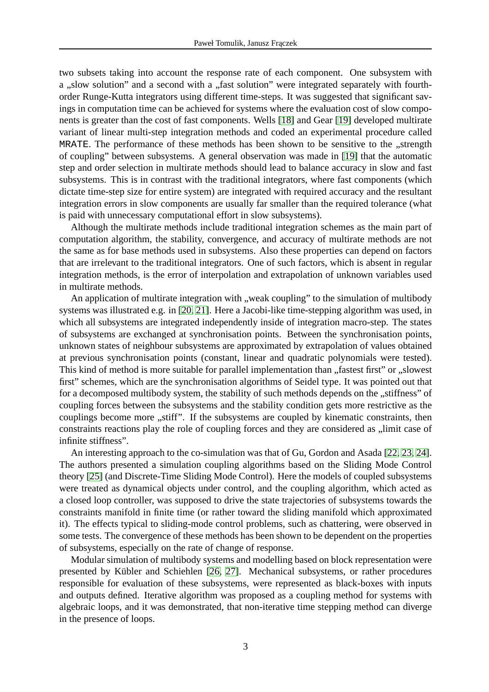two subsets taking into account the response rate of each component. One subsystem with a "slow solution" and a second with a "fast solution" were integrated separately with fourthorder Runge-Kutta integrators using different time-steps. It was suggested that significant savings in computation time can be achieved for systems where the evaluation cost of slow components is greater than the cost of fast components. Wells [\[18\]](#page-19-1) and Gear [\[19\]](#page-19-2) developed multirate variant of linear multi-step integration methods and coded an experimental procedure called MRATE. The performance of these methods has been shown to be sensitive to the "strength of coupling" between subsystems. A general observation was made in [\[19\]](#page-19-2) that the automatic step and order selection in multirate methods should lead to balance accuracy in slow and fast subsystems. This is in contrast with the traditional integrators, where fast components (which dictate time-step size for entire system) are integrated with required accuracy and the resultant integration errors in slow components are usually far smaller than the required tolerance (what is paid with unnecessary computational effort in slow subsystems).

Although the multirate methods include traditional integration schemes as the main part of computation algorithm, the stability, convergence, and accuracy of multirate methods are not the same as for base methods used in subsystems. Also these properties can depend on factors that are irrelevant to the traditional integrators. One of such factors, which is absent in regular integration methods, is the error of interpolation and extrapolation of unknown variables used in multirate methods.

An application of multirate integration with "weak coupling" to the simulation of multibody systems was illustrated e.g. in [\[20,](#page-19-3) [21\]](#page-19-4). Here a Jacobi-like time-stepping algorithm was used, in which all subsystems are integrated independently inside of integration macro-step. The states of subsystems are exchanged at synchronisation points. Between the synchronisation points, unknown states of neighbour subsystems are approximated by extrapolation of values obtained at previous synchronisation points (constant, linear and quadratic polynomials were tested). This kind of method is more suitable for parallel implementation than "fastest first" or "slowest first" schemes, which are the synchronisation algorithms of Seidel type. It was pointed out that for a decomposed multibody system, the stability of such methods depends on the "stiffness" of coupling forces between the subsystems and the stability condition gets more restrictive as the couplings become more ,,stiff". If the subsystems are coupled by kinematic constraints, then constraints reactions play the role of coupling forces and they are considered as  $\mu$ limit case of infinite stiffness".

An interesting approach to the co-simulation was that of Gu, Gordon and Asada [\[22,](#page-19-5) [23,](#page-19-6) [24\]](#page-19-7). The authors presented a simulation coupling algorithms based on the Sliding Mode Control theory [\[25\]](#page-19-8) (and Discrete-Time Sliding Mode Control). Here the models of coupled subsystems were treated as dynamical objects under control, and the coupling algorithm, which acted as a closed loop controller, was supposed to drive the state trajectories of subsystems towards the constraints manifold in finite time (or rather toward the sliding manifold which approximated it). The effects typical to sliding-mode control problems, such as chattering, were observed in some tests. The convergence of these methods has been shown to be dependent on the properties of subsystems, especially on the rate of change of response.

Modular simulation of multibody systems and modelling based on block representation were presented by Kübler and Schiehlen [\[26,](#page-19-9) [27\]](#page-19-10). Mechanical subsystems, or rather procedures responsible for evaluation of these subsystems, were represented as black-boxes with inputs and outputs defined. Iterative algorithm was proposed as a coupling method for systems with algebraic loops, and it was demonstrated, that non-iterative time stepping method can diverge in the presence of loops.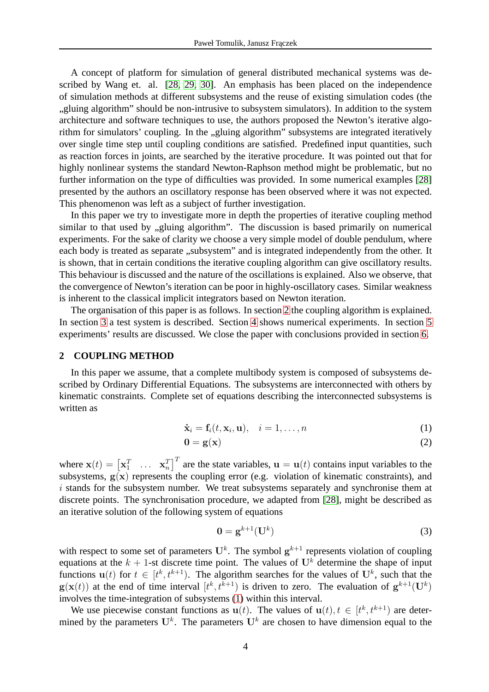A concept of platform for simulation of general distributed mechanical systems was described by Wang et. al. [\[28,](#page-19-11) [29,](#page-19-12) [30\]](#page-19-13). An emphasis has been placed on the independence of simulation methods at different subsystems and the reuse of existing simulation codes (the "gluing algorithm" should be non-intrusive to subsystem simulators). In addition to the system architecture and software techniques to use, the authors proposed the Newton's iterative algorithm for simulators' coupling. In the "gluing algorithm" subsystems are integrated iteratively over single time step until coupling conditions are satisfied. Predefined input quantities, such as reaction forces in joints, are searched by the iterative procedure. It was pointed out that for highly nonlinear systems the standard Newton-Raphson method might be problematic, but no further information on the type of difficulties was provided. In some numerical examples [\[28\]](#page-19-11) presented by the authors an oscillatory response has been observed where it was not expected. This phenomenon was left as a subject of further investigation.

In this paper we try to investigate more in depth the properties of iterative coupling method similar to that used by "gluing algorithm". The discussion is based primarily on numerical experiments. For the sake of clarity we choose a very simple model of double pendulum, where each body is treated as separate "subsystem" and is integrated independently from the other. It is shown, that in certain conditions the iterative coupling algorithm can give oscillatory results. This behaviour is discussed and the nature of the oscillations is explained. Also we observe, that the convergence of Newton's iteration can be poor in highly-oscillatory cases. Similar weakness is inherent to the classical implicit integrators based on Newton iteration.

The organisation of this paper is as follows. In section [2](#page-3-0) the coupling algorithm is explained. In section [3](#page-5-0) a test system is described. Section [4](#page-7-0) shows numerical experiments. In section [5](#page-7-1) experiments' results are discussed. We close the paper with conclusions provided in section [6.](#page-17-2)

#### <span id="page-3-0"></span>**2 COUPLING METHOD**

In this paper we assume, that a complete multibody system is composed of subsystems described by Ordinary Differential Equations. The subsystems are interconnected with others by kinematic constraints. Complete set of equations describing the interconnected subsystems is written as

$$
\dot{\mathbf{x}}_i = \mathbf{f}_i(t, \mathbf{x}_i, \mathbf{u}), \quad i = 1, \dots, n
$$
 (1)

<span id="page-3-1"></span>
$$
0 = g(x) \tag{2}
$$

where  $\mathbf{x}(t) = \begin{bmatrix} \mathbf{x}_1^T & \dots & \mathbf{x}_n^T \end{bmatrix}^T$  are the state variables,  $\mathbf{u} = \mathbf{u}(t)$  contains input variables to the subsystems,  $g(x)$  represents the coupling error (e.g. violation of kinematic constraints), and i stands for the subsystem number. We treat subsystems separately and synchronise them at discrete points. The synchronisation procedure, we adapted from [\[28\]](#page-19-11), might be described as an iterative solution of the following system of equations

<span id="page-3-3"></span><span id="page-3-2"></span>
$$
\mathbf{0} = \mathbf{g}^{k+1}(\mathbf{U}^k) \tag{3}
$$

with respect to some set of parameters  $U^k$ . The symbol  $g^{k+1}$  represents violation of coupling equations at the  $k + 1$ -st discrete time point. The values of  $U^k$  determine the shape of input functions  $u(t)$  for  $t \in [t^k, t^{k+1})$ . The algorithm searches for the values of  $U^k$ , such that the  $g(x(t))$  at the end of time interval  $[t^k, t^{k+1})$  is driven to zero. The evaluation of  $g^{k+1}(\mathbf{U}^k)$ involves the time-integration of subsystems [\(1\)](#page-3-1) within this interval.

We use piecewise constant functions as  $u(t)$ . The values of  $u(t)$ ,  $t \in [t^k, t^{k+1})$  are determined by the parameters  $U^k$ . The parameters  $U^k$  are chosen to have dimension equal to the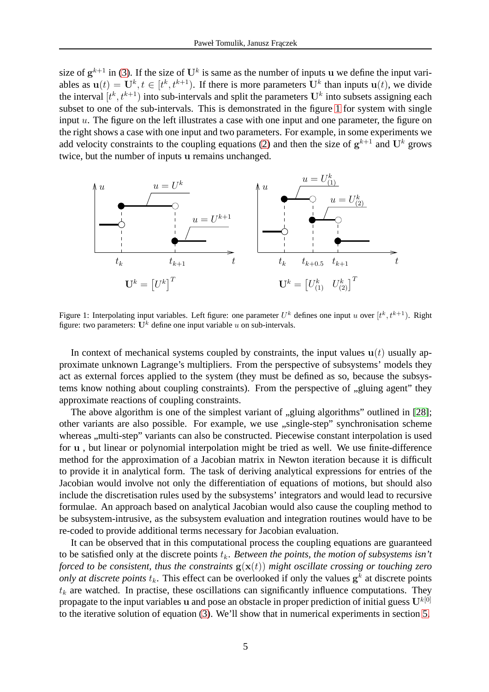size of  $g^{k+1}$  in [\(3\)](#page-3-2). If the size of  $U^k$  is same as the number of inputs u we define the input variables as  $\mathbf{u}(t) = \mathbf{U}^k, t \in [t^k, t^{k+1})$ . If there is more parameters  $\mathbf{U}^k$  than inputs  $\mathbf{u}(t)$ , we divide the interval  $[t^k, t^{k+1})$  into sub-intervals and split the parameters  $U^k$  into subsets assigning each subset to one of the sub-intervals. This is demonstrated in the figure [1](#page-4-0) for system with single input u. The figure on the left illustrates a case with one input and one parameter, the figure on the right shows a case with one input and two parameters. For example, in some experiments we add velocity constraints to the coupling equations [\(2\)](#page-3-3) and then the size of  $g^{k+1}$  and  $U^k$  grows twice, but the number of inputs u remains unchanged.



<span id="page-4-0"></span>Figure 1: Interpolating input variables. Left figure: one parameter  $U^k$  defines one input u over  $[t^k, t^{k+1})$ . Right figure: two parameters:  $U^k$  define one input variable u on sub-intervals.

In context of mechanical systems coupled by constraints, the input values  $u(t)$  usually approximate unknown Lagrange's multipliers. From the perspective of subsystems' models they act as external forces applied to the system (they must be defined as so, because the subsystems know nothing about coupling constraints). From the perspective of  $\alpha$  gluing agent" they approximate reactions of coupling constraints.

The above algorithm is one of the simplest variant of "gluing algorithms" outlined in [\[28\]](#page-19-11); other variants are also possible. For example, we use "single-step" synchronisation scheme whereas ,, multi-step" variants can also be constructed. Piecewise constant interpolation is used for u , but linear or polynomial interpolation might be tried as well. We use finite-difference method for the approximation of a Jacobian matrix in Newton iteration because it is difficult to provide it in analytical form. The task of deriving analytical expressions for entries of the Jacobian would involve not only the differentiation of equations of motions, but should also include the discretisation rules used by the subsystems' integrators and would lead to recursive formulae. An approach based on analytical Jacobian would also cause the coupling method to be subsystem-intrusive, as the subsystem evaluation and integration routines would have to be re-coded to provide additional terms necessary for Jacobian evaluation.

It can be observed that in this computational process the coupling equations are guaranteed to be satisfied only at the discrete points  $t_k$ . *Between the points, the motion of subsystems isn't forced to be consistent, thus the constraints*  $g(x(t))$  *might oscillate crossing or touching zero only at discrete points*  $t_k$ . This effect can be overlooked if only the values  $g^k$  at discrete points  $t_k$  are watched. In practise, these oscillations can significantly influence computations. They propagate to the input variables u and pose an obstacle in proper prediction of initial guess  $U^{k[0]}$ to the iterative solution of equation [\(3\)](#page-3-2). We'll show that in numerical experiments in section [5.](#page-7-1)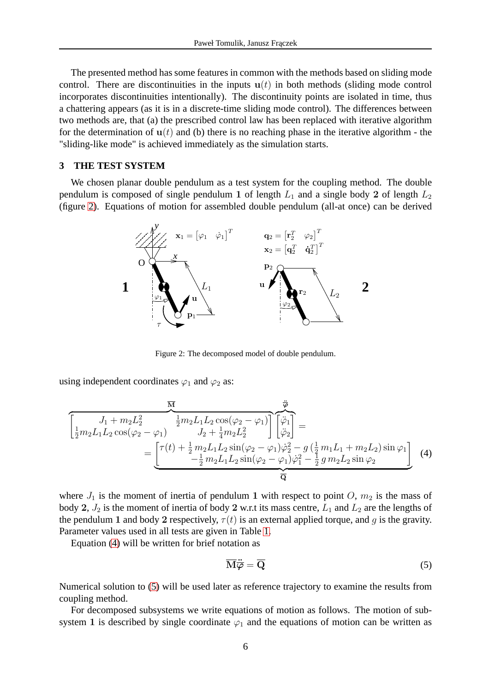The presented method has some features in common with the methods based on sliding mode control. There are discontinuities in the inputs  $u(t)$  in both methods (sliding mode control incorporates discontinuities intentionally). The discontinuity points are isolated in time, thus a chattering appears (as it is in a discrete-time sliding mode control). The differences between two methods are, that (a) the prescribed control law has been replaced with iterative algorithm for the determination of  $u(t)$  and (b) there is no reaching phase in the iterative algorithm - the "sliding-like mode" is achieved immediately as the simulation starts.

### <span id="page-5-0"></span>**3 THE TEST SYSTEM**

We chosen planar double pendulum as a test system for the coupling method. The double pendulum is composed of single pendulum 1 of length  $L_1$  and a single body 2 of length  $L_2$ (figure [2\)](#page-5-1). Equations of motion for assembled double pendulum (all-at once) can be derived



<span id="page-5-1"></span>Figure 2: The decomposed model of double pendulum.

using independent coordinates  $\varphi_1$  and  $\varphi_2$  as:

$$
\begin{aligned}\n\overline{M} & \overrightarrow{\psi} \\
\overline{z} & \overline{m}_2 L_1 L_2 \cos(\varphi_2 - \varphi_1) \overline{\psi_1} \\
\overline{z} & \overline{m}_2 L_1 L_2 \cos(\varphi_2 - \varphi_1) \overline{\psi_2} \\
\overline{z} & \overline{m}_2 L_1 L_2 \cos(\varphi_2 - \varphi_1) \overline{\psi_2} \\
\overline{z} & \overline{m}_2 L_1 L_2 \sin(\varphi_2 - \varphi_1) \overline{\psi_2} - g(\frac{1}{2} m_1 L_1 + m_2 L_2) \sin \varphi_1 \\
\overline{z} & \overline{m}_2 L_1 L_2 \sin(\varphi_2 - \varphi_1) \overline{\psi_1} - \frac{1}{2} m_2 L_1 L_2 \sin(\varphi_2 - \varphi_1) \overline{\psi_1} - \frac{1}{2} g m_2 L_2 \sin \varphi_2\n\end{aligned}
$$
\n(4)

where  $J_1$  is the moment of inertia of pendulum 1 with respect to point O,  $m_2$  is the mass of body 2,  $J_2$  is the moment of inertia of body 2 w.r.t its mass centre,  $L_1$  and  $L_2$  are the lengths of the pendulum 1 and body 2 respectively,  $\tau(t)$  is an external applied torque, and g is the gravity. Parameter values used in all tests are given in Table [1.](#page-6-0)

Equation [\(4\)](#page-5-2) will be written for brief notation as

<span id="page-5-3"></span><span id="page-5-2"></span>
$$
\overline{\mathbf{M}}\ddot{\overline{\boldsymbol{\varphi}}} = \overline{\mathbf{Q}}\tag{5}
$$

Numerical solution to [\(5\)](#page-5-3) will be used later as reference trajectory to examine the results from coupling method.

For decomposed subsystems we write equations of motion as follows. The motion of subsystem 1 is described by single coordinate  $\varphi_1$  and the equations of motion can be written as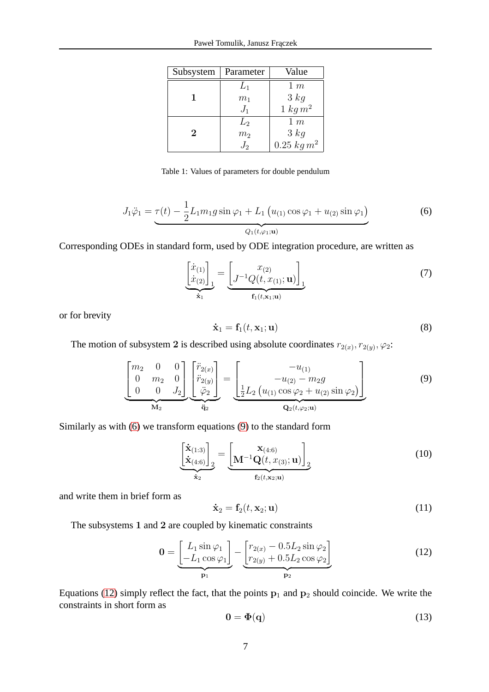| Subsystem | Parameter      | Value           |  |
|-----------|----------------|-----------------|--|
|           | $L_1$          | 1 m             |  |
|           | m <sub>1</sub> | 3 kg            |  |
|           | $J_1$          | $1\ kg\ m^2$    |  |
|           | $L_{2}$        | $1 \; m$        |  |
| 2         | m <sub>2</sub> | 3 kg            |  |
|           | $J_{2}$        | $0.25\;kg\,m^2$ |  |

| Table 1: Values of parameters for double pendulum |  |
|---------------------------------------------------|--|
|---------------------------------------------------|--|

<span id="page-6-0"></span>
$$
J_1 \ddot{\varphi}_1 = \underbrace{\tau(t) - \frac{1}{2} L_1 m_1 g \sin \varphi_1 + L_1 \left( u_{(1)} \cos \varphi_1 + u_{(2)} \sin \varphi_1 \right)}_{Q_1(t, \varphi_1; \mathbf{u})}
$$
(6)

<span id="page-6-1"></span>Corresponding ODEs in standard form, used by ODE integration procedure, are written as

$$
\underbrace{\begin{bmatrix} \dot{x}_{(1)} \\ \dot{x}_{(2)} \end{bmatrix}}_{\dot{x}_1} = \underbrace{\begin{bmatrix} x_{(2)} \\ J^{-1}Q(t, x_{(1)}; \mathbf{u}) \end{bmatrix}}_{\mathbf{f}_1(t, \mathbf{x}_1; \mathbf{u})}
$$
(7)

<span id="page-6-5"></span>or for brevity

<span id="page-6-2"></span>
$$
\dot{\mathbf{x}}_1 = \mathbf{f}_1(t, \mathbf{x}_1; \mathbf{u}) \tag{8}
$$

The motion of subsystem 2 is described using absolute coordinates  $r_{2(x)}$ ,  $r_{2(y)}$ ,  $\varphi_2$ :

$$
\underbrace{\begin{bmatrix} m_2 & 0 & 0 \ 0 & m_2 & 0 \ 0 & 0 & J_2 \end{bmatrix}}_{\mathbf{M}_2} \underbrace{\begin{bmatrix} \ddot{r}_{2(x)} \\ \ddot{r}_{2(y)} \\ \ddot{\varphi}_2 \end{bmatrix}}_{\mathbf{\ddot{q}}_2} = \underbrace{\begin{bmatrix} -u_{(1)} \\ -u_{(2)} - m_2 g \\ \frac{1}{2} L_2 \left( u_{(1)} \cos \varphi_2 + u_{(2)} \sin \varphi_2 \right) \end{bmatrix}}_{\mathbf{Q}_2(t, \varphi_2; \mathbf{u})}
$$
(9)

Similarly as with [\(6\)](#page-6-1) we transform equations [\(9\)](#page-6-2) to the standard form

$$
\underbrace{\begin{bmatrix} \dot{\mathbf{x}}_{(1:3)} \\ \dot{\mathbf{x}}_{(4:6)} \end{bmatrix}_{2}}_{\dot{\mathbf{x}}_{2}} = \underbrace{\begin{bmatrix} \mathbf{x}_{(4:6)} \\ \mathbf{M}^{-1} \mathbf{Q}(t, x_{(3)}; \mathbf{u}) \end{bmatrix}_{2}}_{\mathbf{f}_{2}(t, \mathbf{x}_{2}; \mathbf{u})}
$$
(10)

and write them in brief form as

<span id="page-6-3"></span>
$$
\dot{\mathbf{x}}_2 = \mathbf{f}_2(t, \mathbf{x}_2; \mathbf{u}) \tag{11}
$$

The subsystems 1 and 2 are coupled by kinematic constraints

<span id="page-6-6"></span>
$$
\mathbf{0} = \underbrace{\begin{bmatrix} L_1 \sin \varphi_1 \\ -L_1 \cos \varphi_1 \end{bmatrix}}_{\mathbf{p}_1} - \underbrace{\begin{bmatrix} r_{2(x)} - 0.5L_2 \sin \varphi_2 \\ r_{2(y)} + 0.5L_2 \cos \varphi_2 \end{bmatrix}}_{\mathbf{p}_2}
$$
(12)

<span id="page-6-4"></span>Equations [\(12\)](#page-6-3) simply reflect the fact, that the points  $p_1$  and  $p_2$  should coincide. We write the constraints in short form as

$$
0 = \Phi(\mathbf{q}) \tag{13}
$$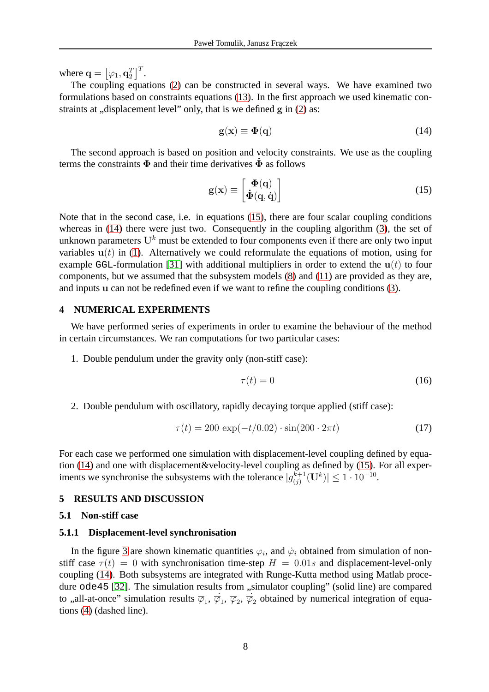where  $\mathbf{q} = \left[ \varphi_1, \mathbf{q}_2^T \right]^T$ .

The coupling equations [\(2\)](#page-3-3) can be constructed in several ways. We have examined two formulations based on constraints equations [\(13\)](#page-6-4). In the first approach we used kinematic constraints at  $\alpha$ , displacement level" only, that is we defined g in [\(2\)](#page-3-3) as:

<span id="page-7-3"></span><span id="page-7-2"></span>
$$
g(x) \equiv \Phi(q) \tag{14}
$$

The second approach is based on position and velocity constraints. We use as the coupling terms the constraints  $\Phi$  and their time derivatives  $\dot{\Phi}$  as follows

$$
\mathbf{g}(\mathbf{x}) \equiv \begin{bmatrix} \mathbf{\Phi}(\mathbf{q}) \\ \mathbf{\dot{\Phi}}(\mathbf{q}, \mathbf{\dot{q}}) \end{bmatrix} \tag{15}
$$

Note that in the second case, i.e. in equations [\(15\)](#page-7-2), there are four scalar coupling conditions whereas in [\(14\)](#page-7-3) there were just two. Consequently in the coupling algorithm [\(3\)](#page-3-2), the set of unknown parameters  $U^k$  must be extended to four components even if there are only two input variables  $u(t)$  in [\(1\)](#page-3-1). Alternatively we could reformulate the equations of motion, using for example GGL-formulation [\[31\]](#page-19-14) with additional multipliers in order to extend the  $u(t)$  to four components, but we assumed that the subsystem models [\(8\)](#page-6-5) and [\(11\)](#page-6-6) are provided as they are, and inputs u can not be redefined even if we want to refine the coupling conditions [\(3\)](#page-3-2).

# <span id="page-7-0"></span>**4 NUMERICAL EXPERIMENTS**

We have performed series of experiments in order to examine the behaviour of the method in certain circumstances. We ran computations for two particular cases:

1. Double pendulum under the gravity only (non-stiff case):

$$
\tau(t) = 0 \tag{16}
$$

2. Double pendulum with oscillatory, rapidly decaying torque applied (stiff case):

$$
\tau(t) = 200 \exp(-t/0.02) \cdot \sin(200 \cdot 2\pi t)
$$
\n(17)

For each case we performed one simulation with displacement-level coupling defined by equation [\(14\)](#page-7-3) and one with displacement&velocity-level coupling as defined by [\(15\)](#page-7-2). For all experiments we synchronise the subsystems with the tolerance  $|g_{(i)}^{k+1}|$  $\binom{k+1}{j}$  $(\mathbf{U}^k)$ |  $\leq 1 \cdot 10^{-10}$ .

# <span id="page-7-1"></span>**5 RESULTS AND DISCUSSION**

#### **5.1 Non-stiff case**

#### **5.1.1 Displacement-level synchronisation**

In the figure [3](#page-8-0) are shown kinematic quantities  $\varphi_i$ , and  $\dot{\varphi}_i$  obtained from simulation of nonstiff case  $\tau(t) = 0$  with synchronisation time-step  $H = 0.01s$  and displacement-level-only coupling [\(14\)](#page-7-3). Both subsystems are integrated with Runge-Kutta method using Matlab proce-dure ode45 [\[32\]](#page-19-15). The simulation results from "simulator coupling" (solid line) are compared to ,,all-at-once" simulation results  $\overline{\varphi}_1$ ,  $\overline{\varphi}_1$ ,  $\overline{\varphi}_2$ ,  $\overline{\varphi}_2$  obtained by numerical integration of equations [\(4\)](#page-5-2) (dashed line).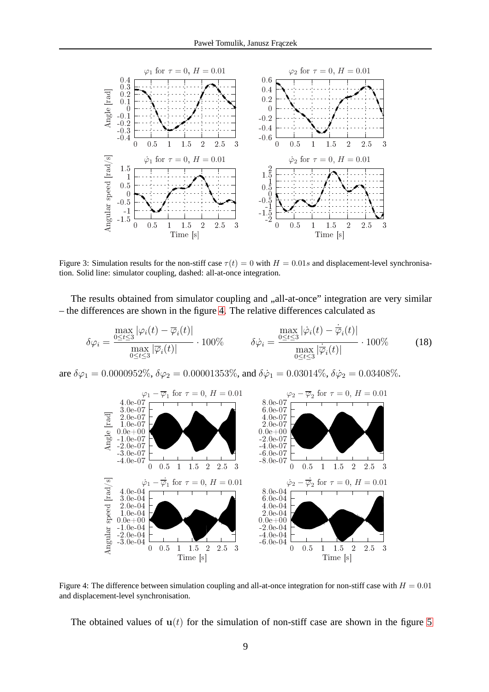

<span id="page-8-0"></span>Figure 3: Simulation results for the non-stiff case  $\tau(t) = 0$  with  $H = 0.01s$  and displacement-level synchronisation. Solid line: simulator coupling, dashed: all-at-once integration.

The results obtained from simulator coupling and  $\alpha$ , all-at-once" integration are very similar – the differences are shown in the figure [4.](#page-8-1) The relative differences calculated as

$$
\delta\varphi_i = \frac{\max\limits_{0 \le t \le 3} |\varphi_i(t) - \overline{\varphi}_i(t)|}{\max\limits_{0 \le t \le 3} |\overline{\varphi}_i(t)|} \cdot 100\% \qquad \delta\dot{\varphi}_i = \frac{\max\limits_{0 \le t \le 3} |\dot{\varphi}_i(t) - \dot{\overline{\varphi}}_i(t)|}{\max\limits_{0 \le t \le 3} |\overline{\varphi}_i(t)|} \cdot 100\% \qquad (18)
$$

are  $\delta\varphi_1 = 0.0000952\%$ ,  $\delta\varphi_2 = 0.00001353\%$ , and  $\delta\dot{\varphi}_1 = 0.03014\%$ ,  $\delta\dot{\varphi}_2 = 0.03408\%$ .



<span id="page-8-1"></span>Figure 4: The difference between simulation coupling and all-at-once integration for non-stiff case with  $H = 0.01$ and displacement-level synchronisation.

The obtained values of  $u(t)$  for the simulation of non-stiff case are shown in the figure [5](#page-9-0)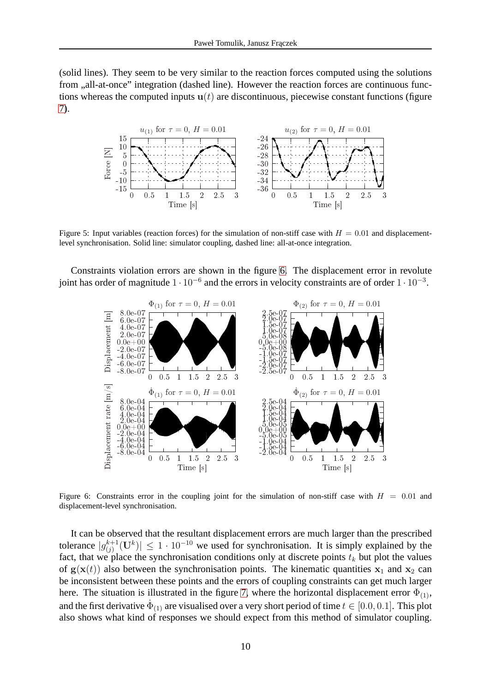(solid lines). They seem to be very similar to the reaction forces computed using the solutions from ,,all-at-once" integration (dashed line). However the reaction forces are continuous functions whereas the computed inputs  $u(t)$  are discontinuous, piecewise constant functions (figure [7\)](#page-10-0).



<span id="page-9-0"></span>Figure 5: Input variables (reaction forces) for the simulation of non-stiff case with  $H = 0.01$  and displacementlevel synchronisation. Solid line: simulator coupling, dashed line: all-at-once integration.

Constraints violation errors are shown in the figure [6.](#page-9-1) The displacement error in revolute joint has order of magnitude  $1 \cdot 10^{-6}$  and the errors in velocity constraints are of order  $1 \cdot 10^{-3}$ .



<span id="page-9-1"></span>Figure 6: Constraints error in the coupling joint for the simulation of non-stiff case with  $H = 0.01$  and displacement-level synchronisation.

It can be observed that the resultant displacement errors are much larger than the prescribed tolerance  $|g_{(i)}^{k+1}|$  $\left| \binom{k+1}{j} (U^k) \right| \leq 1 \cdot 10^{-10}$  we used for synchronisation. It is simply explained by the fact, that we place the synchronisation conditions only at discrete points  $t_k$  but plot the values of  $g(x(t))$  also between the synchronisation points. The kinematic quantities  $x_1$  and  $x_2$  can be inconsistent between these points and the errors of coupling constraints can get much larger here. The situation is illustrated in the figure [7,](#page-10-0) where the horizontal displacement error  $\Phi_{(1)}$ , and the first derivative  $\dot{\Phi}_{(1)}$  are visualised over a very short period of time  $t\in[0.0,0.1].$  This plot also shows what kind of responses we should expect from this method of simulator coupling.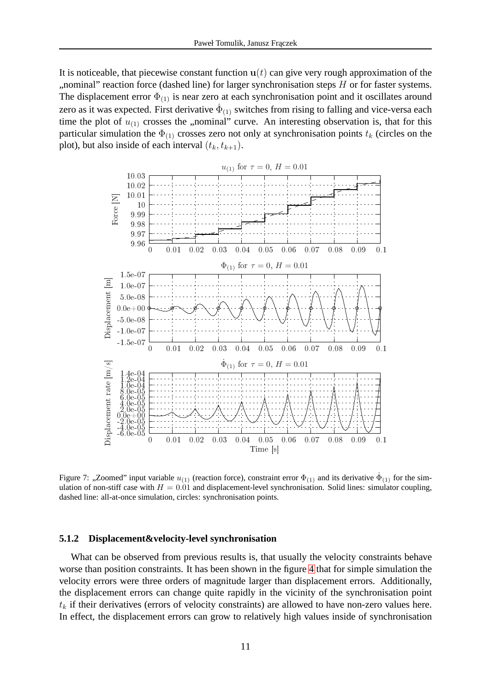It is noticeable, that piecewise constant function  $u(t)$  can give very rough approximation of the ", nominal" reaction force (dashed line) for larger synchronisation steps  $H$  or for faster systems. The displacement error  $\Phi_{(1)}$  is near zero at each synchronisation point and it oscillates around zero as it was expected. First derivative  $\dot{\Phi}_{(1)}$  switches from rising to falling and vice-versa each time the plot of  $u_{(1)}$  crosses the "nominal" curve. An interesting observation is, that for this particular simulation the  $\Phi_{(1)}$  crosses zero not only at synchronisation points  $t_k$  (circles on the plot), but also inside of each interval  $(t_k, t_{k+1})$ .



<span id="page-10-0"></span>Figure 7: "Zoomed" input variable  $u_{(1)}$  (reaction force), constraint error  $\Phi_{(1)}$  and its derivative  $\dot{\Phi}_{(1)}$  for the simulation of non-stiff case with  $H = 0.01$  and displacement-level synchronisation. Solid lines: simulator coupling, dashed line: all-at-once simulation, circles: synchronisation points.

#### **5.1.2 Displacement&velocity-level synchronisation**

What can be observed from previous results is, that usually the velocity constraints behave worse than position constraints. It has been shown in the figure [4](#page-8-1) that for simple simulation the velocity errors were three orders of magnitude larger than displacement errors. Additionally, the displacement errors can change quite rapidly in the vicinity of the synchronisation point  $t_k$  if their derivatives (errors of velocity constraints) are allowed to have non-zero values here. In effect, the displacement errors can grow to relatively high values inside of synchronisation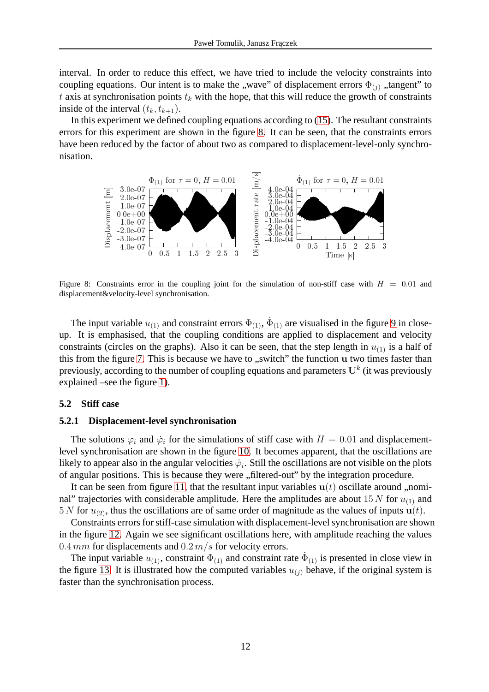interval. In order to reduce this effect, we have tried to include the velocity constraints into coupling equations. Our intent is to make the "wave" of displacement errors  $\Phi_{(i)}$  "tangent" to t axis at synchronisation points  $t_k$  with the hope, that this will reduce the growth of constraints inside of the interval  $(t_k, t_{k+1})$ .

In this experiment we defined coupling equations according to [\(15\)](#page-7-2). The resultant constraints errors for this experiment are shown in the figure [8.](#page-11-0) It can be seen, that the constraints errors have been reduced by the factor of about two as compared to displacement-level-only synchronisation.



<span id="page-11-0"></span>Figure 8: Constraints error in the coupling joint for the simulation of non-stiff case with  $H = 0.01$  and displacement&velocity-level synchronisation.

The input variable  $u_{(1)}$  and constraint errors  $\Phi_{(1)}$ ,  $\dot{\Phi}_{(1)}$  are visualised in the figure [9](#page-12-0) in closeup. It is emphasised, that the coupling conditions are applied to displacement and velocity constraints (circles on the graphs). Also it can be seen, that the step length in  $u_{(1)}$  is a half of this from the figure [7.](#page-10-0) This is because we have to "switch" the function u two times faster than previously, according to the number of coupling equations and parameters  $\mathrm{U}^k$  (it was previously explained –see the figure [1\)](#page-4-0).

## **5.2 Stiff case**

#### **5.2.1 Displacement-level synchronisation**

The solutions  $\varphi_i$  and  $\dot{\varphi}_i$  for the simulations of stiff case with  $H = 0.01$  and displacementlevel synchronisation are shown in the figure [10.](#page-13-0) It becomes apparent, that the oscillations are likely to appear also in the angular velocities  $\dot{\varphi}_i$ . Still the oscillations are not visible on the plots of angular positions. This is because they were "filtered-out" by the integration procedure.

It can be seen from figure [11,](#page-13-1) that the resultant input variables  $u(t)$  oscillate around ,,nominal" trajectories with considerable amplitude. Here the amplitudes are about 15 N for  $u_{(1)}$  and  $5 N$  for  $u_{(2)}$ , thus the oscillations are of same order of magnitude as the values of inputs  $u(t)$ .

Constraints errors for stiff-case simulation with displacement-level synchronisation are shown in the figure [12.](#page-13-2) Again we see significant oscillations here, with amplitude reaching the values 0.4 mm for displacements and  $0.2 m/s$  for velocity errors.

The input variable  $u_{(1)}$ , constraint  $\Phi_{(1)}$  and constraint rate  $\dot{\Phi}_{(1)}$  is presented in close view in the figure [13.](#page-14-0) It is illustrated how the computed variables  $u_{(i)}$  behave, if the original system is faster than the synchronisation process.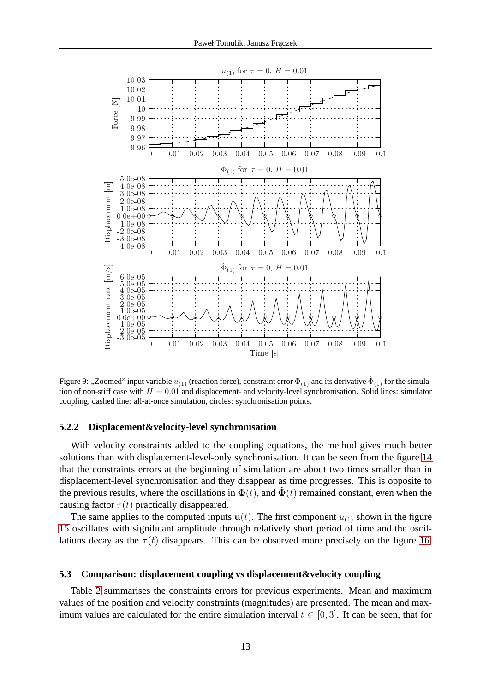

<span id="page-12-0"></span>Figure 9: "Zoomed" input variable  $u_{(1)}$  (reaction force), constraint error  $\Phi_{(1)}$  and its derivative  $\dot{\Phi}_{(1)}$  for the simulation of non-stiff case with  $H = 0.01$  and displacement- and velocity-level synchronisation. Solid lines: simulator coupling, dashed line: all-at-once simulation, circles: synchronisation points.

# **5.2.2 Displacement&velocity-level synchronisation**

With velocity constraints added to the coupling equations, the method gives much better solutions than with displacement-level-only synchronisation. It can be seen from the figure [14](#page-14-1) that the constraints errors at the beginning of simulation are about two times smaller than in displacement-level synchronisation and they disappear as time progresses. This is opposite to the previous results, where the oscillations in  $\Phi(t)$ , and  $\dot{\Phi}(t)$  remained constant, even when the causing factor  $\tau(t)$  practically disappeared.

The same applies to the computed inputs  $u(t)$ . The first component  $u_{(1)}$  shown in the figure [15](#page-15-0) oscillates with significant amplitude through relatively short period of time and the oscillations decay as the  $\tau(t)$  disappears. This can be observed more precisely on the figure [16.](#page-15-1)

## **5.3 Comparison: displacement coupling vs displacement&velocity coupling**

Table [2](#page-16-0) summarises the constraints errors for previous experiments. Mean and maximum values of the position and velocity constraints (magnitudes) are presented. The mean and maximum values are calculated for the entire simulation interval  $t \in [0, 3]$ . It can be seen, that for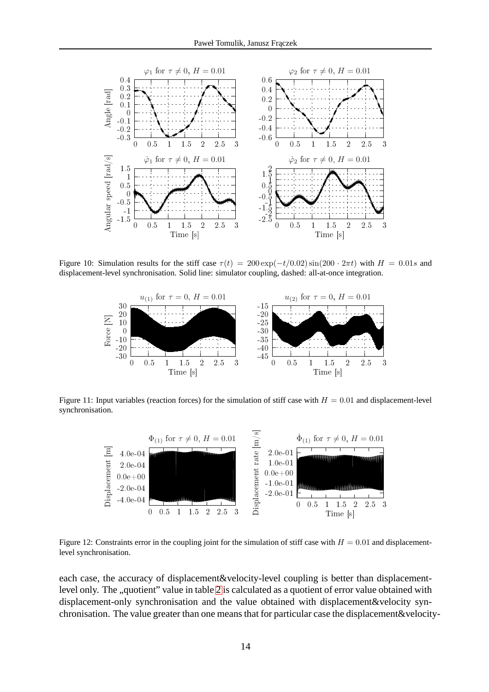

<span id="page-13-0"></span>Figure 10: Simulation results for the stiff case  $\tau(t) = 200 \exp(-t/0.02) \sin(200 \cdot 2\pi t)$  with  $H = 0.01s$  and displacement-level synchronisation. Solid line: simulator coupling, dashed: all-at-once integration.



<span id="page-13-1"></span>Figure 11: Input variables (reaction forces) for the simulation of stiff case with  $H = 0.01$  and displacement-level synchronisation.



<span id="page-13-2"></span>Figure 12: Constraints error in the coupling joint for the simulation of stiff case with  $H = 0.01$  and displacementlevel synchronisation.

each case, the accuracy of displacement&velocity-level coupling is better than displacement-level only. The "quotient" value in table [2](#page-16-0) is calculated as a quotient of error value obtained with displacement-only synchronisation and the value obtained with displacement&velocity synchronisation. The value greater than one means that for particular case the displacement&velocity-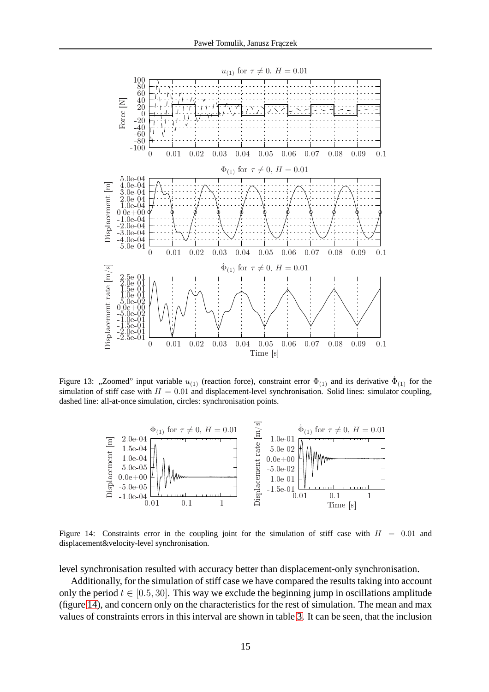

<span id="page-14-0"></span>Figure 13: "Zoomed" input variable  $u_{(1)}$  (reaction force), constraint error  $\Phi_{(1)}$  and its derivative  $\dot{\Phi}_{(1)}$  for the simulation of stiff case with  $H = 0.01$  and displacement-level synchronisation. Solid lines: simulator coupling, dashed line: all-at-once simulation, circles: synchronisation points.



<span id="page-14-1"></span>Figure 14: Constraints error in the coupling joint for the simulation of stiff case with  $H = 0.01$  and displacement&velocity-level synchronisation.

level synchronisation resulted with accuracy better than displacement-only synchronisation.

Additionally, for the simulation of stiff case we have compared the results taking into account only the period  $t \in [0.5, 30]$ . This way we exclude the beginning jump in oscillations amplitude (figure [14\)](#page-14-1), and concern only on the characteristics for the rest of simulation. The mean and max values of constraints errors in this interval are shown in table [3.](#page-16-1) It can be seen, that the inclusion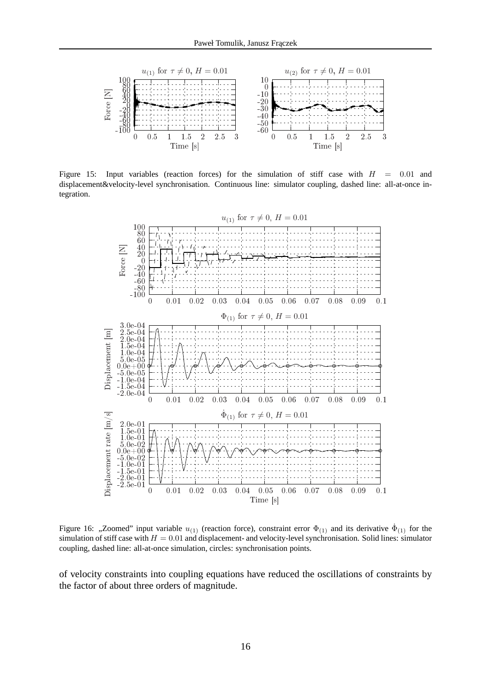

<span id="page-15-0"></span>Figure 15: Input variables (reaction forces) for the simulation of stiff case with  $H = 0.01$  and displacement&velocity-level synchronisation. Continuous line: simulator coupling, dashed line: all-at-once integration.



<span id="page-15-1"></span>Figure 16: "Zoomed" input variable  $u_{(1)}$  (reaction force), constraint error  $\Phi_{(1)}$  and its derivative  $\dot{\Phi}_{(1)}$  for the simulation of stiff case with  $H = 0.01$  and displacement- and velocity-level synchronisation. Solid lines: simulator coupling, dashed line: all-at-once simulation, circles: synchronisation points.

of velocity constraints into coupling equations have reduced the oscillations of constraints by the factor of about three orders of magnitude.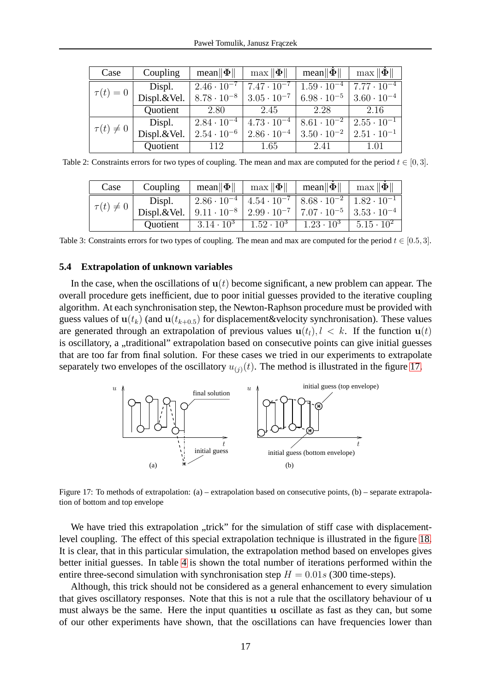| Case            | Coupling    | mean $\ \Phi\ $      | $\max \ \Phi\ $      | $\text{mean} \ \Phi\ $ | $\max \ \Phi\ $      |
|-----------------|-------------|----------------------|----------------------|------------------------|----------------------|
|                 | Displ.      | $2.46 \cdot 10^{-7}$ | $7.47 \cdot 10^{-7}$ | $1.59 \cdot 10^{-4}$   | $7.77 \cdot 10^{-4}$ |
| $\tau(t)=0$     | Displ.&Vel. | $8.78 \cdot 10^{-8}$ | $3.05 \cdot 10^{-7}$ | $6.98 \cdot 10^{-5}$   | $3.60 \cdot 10^{-4}$ |
|                 | Quotient    | 2.80                 | 2.45                 | 2.28                   | 2.16                 |
|                 | Displ.      | $2.84 \cdot 10^{-4}$ | $4.73 \cdot 10^{-4}$ | $8.61 \cdot 10^{-2}$   | $2.55 \cdot 10^{-1}$ |
| $\tau(t)\neq 0$ | Displ.&Vel. | $2.54 \cdot 10^{-6}$ | $2.86 \cdot 10^{-4}$ | $3.50 \cdot 10^{-2}$   | $2.51 \cdot 10^{-1}$ |
|                 | Quotient    | 112                  | 1.65                 | 2.41                   | 1.01                 |

<span id="page-16-0"></span>Table 2: Constraints errors for two types of coupling. The mean and max are computed for the period  $t \in [0, 3]$ .

| Case            | Coupling                                                                                                |                     | $\text{mean} \ \mathbf{\Phi}\ $   $\text{max} \ \mathbf{\Phi}\ $   $\text{mean} \ \mathbf{\Phi}\ $ |                                       | $\max \ \Phi\ $     |
|-----------------|---------------------------------------------------------------------------------------------------------|---------------------|----------------------------------------------------------------------------------------------------|---------------------------------------|---------------------|
|                 | Displ.                                                                                                  |                     | $\frac{1}{2.86 \cdot 10^{-4} + 4.54 \cdot 10^{-7} + 8.68 \cdot 10^{-2} + 1.82 \cdot 10^{-1}}$      |                                       |                     |
| $\tau(t)\neq 0$ | Displ.&Vel.   $9.11 \cdot 10^{-8}$   $2.99 \cdot 10^{-7}$   $7.07 \cdot 10^{-5}$   $3.53 \cdot 10^{-4}$ |                     |                                                                                                    |                                       |                     |
|                 | <i><u><b>Ouotient</b></u></i>                                                                           | $3.14 \cdot 10^{3}$ |                                                                                                    | $1.52 \cdot 10^3$   $1.23 \cdot 10^3$ | $5.15 \cdot 10^{2}$ |

<span id="page-16-1"></span>Table 3: Constraints errors for two types of coupling. The mean and max are computed for the period  $t \in [0.5, 3]$ .

#### **5.4 Extrapolation of unknown variables**

In the case, when the oscillations of  $u(t)$  become significant, a new problem can appear. The overall procedure gets inefficient, due to poor initial guesses provided to the iterative coupling algorithm. At each synchronisation step, the Newton-Raphson procedure must be provided with guess values of  $u(t_k)$  (and  $u(t_{k+0.5})$  for displacement&velocity synchronisation). These values are generated through an extrapolation of previous values  $u(t_l)$ ,  $l \leq k$ . If the function  $u(t)$ is oscillatory, a "traditional" extrapolation based on consecutive points can give initial guesses that are too far from final solution. For these cases we tried in our experiments to extrapolate separately two envelopes of the oscillatory  $u_{(i)}(t)$ . The method is illustrated in the figure [17.](#page-16-2)



<span id="page-16-2"></span>Figure 17: To methods of extrapolation: (a) – extrapolation based on consecutive points, (b) – separate extrapolation of bottom and top envelope

We have tried this extrapolation "trick" for the simulation of stiff case with displacementlevel coupling. The effect of this special extrapolation technique is illustrated in the figure [18.](#page-17-3) It is clear, that in this particular simulation, the extrapolation method based on envelopes gives better initial guesses. In table [4](#page-17-4) is shown the total number of iterations performed within the entire three-second simulation with synchronisation step  $H = 0.01s$  (300 time-steps).

Although, this trick should not be considered as a general enhancement to every simulation that gives oscillatory responses. Note that this is not a rule that the oscillatory behaviour of u must always be the same. Here the input quantities u oscillate as fast as they can, but some of our other experiments have shown, that the oscillations can have frequencies lower than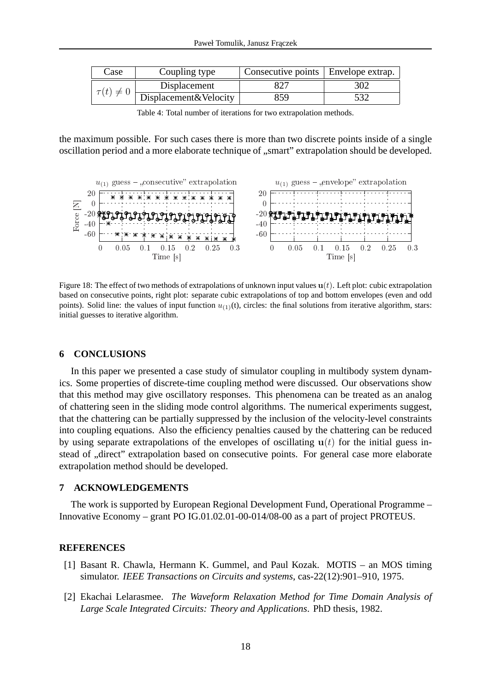| Case            | Coupling type         | Consecutive points   Envelope extrap. |     |
|-----------------|-----------------------|---------------------------------------|-----|
| $\tau(t)\neq 0$ | Displacement          |                                       | 302 |
|                 | Displacement&Velocity | 859                                   | 532 |

<span id="page-17-4"></span>Table 4: Total number of iterations for two extrapolation methods.

the maximum possible. For such cases there is more than two discrete points inside of a single oscillation period and a more elaborate technique of "smart" extrapolation should be developed.



<span id="page-17-3"></span>Figure 18: The effect of two methods of extrapolations of unknown input values  $u(t)$ . Left plot: cubic extrapolation based on consecutive points, right plot: separate cubic extrapolations of top and bottom envelopes (even and odd points). Solid line: the values of input function  $u_{(1)}(t)$ , circles: the final solutions from iterative algorithm, stars: initial guesses to iterative algorithm.

#### <span id="page-17-2"></span>**6 CONCLUSIONS**

In this paper we presented a case study of simulator coupling in multibody system dynamics. Some properties of discrete-time coupling method were discussed. Our observations show that this method may give oscillatory responses. This phenomena can be treated as an analog of chattering seen in the sliding mode control algorithms. The numerical experiments suggest, that the chattering can be partially suppressed by the inclusion of the velocity-level constraints into coupling equations. Also the efficiency penalties caused by the chattering can be reduced by using separate extrapolations of the envelopes of oscillating  $u(t)$  for the initial guess instead of .direct" extrapolation based on consecutive points. For general case more elaborate extrapolation method should be developed.

#### **7 ACKNOWLEDGEMENTS**

The work is supported by European Regional Development Fund, Operational Programme – Innovative Economy – grant PO IG.01.02.01-00-014/08-00 as a part of project PROTEUS.

#### <span id="page-17-0"></span>**REFERENCES**

- [1] Basant R. Chawla, Hermann K. Gummel, and Paul Kozak. MOTIS an MOS timing simulator. *IEEE Transactions on Circuits and systems*, cas-22(12):901–910, 1975.
- <span id="page-17-1"></span>[2] Ekachai Lelarasmee. *The Waveform Relaxation Method for Time Domain Analysis of Large Scale Integrated Circuits: Theory and Applications*. PhD thesis, 1982.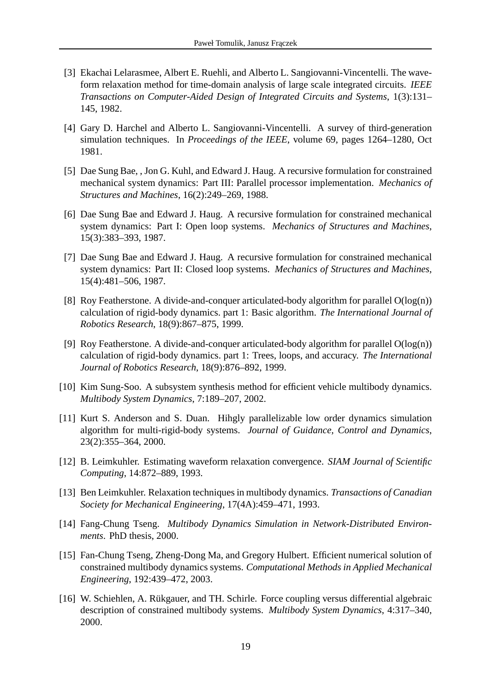- <span id="page-18-0"></span>[3] Ekachai Lelarasmee, Albert E. Ruehli, and Alberto L. Sangiovanni-Vincentelli. The waveform relaxation method for time-domain analysis of large scale integrated circuits. *IEEE Transactions on Computer-Aided Design of Integrated Circuits and Systems*, 1(3):131– 145, 1982.
- <span id="page-18-1"></span>[4] Gary D. Harchel and Alberto L. Sangiovanni-Vincentelli. A survey of third-generation simulation techniques. In *Proceedings of the IEEE*, volume 69, pages 1264–1280, Oct 1981.
- <span id="page-18-2"></span>[5] Dae Sung Bae, , Jon G. Kuhl, and Edward J. Haug. A recursive formulation for constrained mechanical system dynamics: Part III: Parallel processor implementation. *Mechanics of Structures and Machines*, 16(2):249–269, 1988.
- <span id="page-18-3"></span>[6] Dae Sung Bae and Edward J. Haug. A recursive formulation for constrained mechanical system dynamics: Part I: Open loop systems. *Mechanics of Structures and Machines*, 15(3):383–393, 1987.
- <span id="page-18-4"></span>[7] Dae Sung Bae and Edward J. Haug. A recursive formulation for constrained mechanical system dynamics: Part II: Closed loop systems. *Mechanics of Structures and Machines*, 15(4):481–506, 1987.
- <span id="page-18-5"></span>[8] Roy Featherstone. A divide-and-conquer articulated-body algorithm for parallel O(log(n)) calculation of rigid-body dynamics. part 1: Basic algorithm. *The International Journal of Robotics Research*, 18(9):867–875, 1999.
- <span id="page-18-6"></span>[9] Roy Featherstone. A divide-and-conquer articulated-body algorithm for parallel  $O(log(n))$ calculation of rigid-body dynamics. part 1: Trees, loops, and accuracy. *The International Journal of Robotics Research*, 18(9):876–892, 1999.
- <span id="page-18-8"></span><span id="page-18-7"></span>[10] Kim Sung-Soo. A subsystem synthesis method for efficient vehicle multibody dynamics. *Multibody System Dynamics*, 7:189–207, 2002.
- [11] Kurt S. Anderson and S. Duan. Hihgly parallelizable low order dynamics simulation algorithm for multi-rigid-body systems. *Journal of Guidance, Control and Dynamics*, 23(2):355–364, 2000.
- <span id="page-18-10"></span><span id="page-18-9"></span>[12] B. Leimkuhler. Estimating waveform relaxation convergence. *SIAM Journal of Scientific Computing*, 14:872–889, 1993.
- <span id="page-18-11"></span>[13] Ben Leimkuhler. Relaxation techniques in multibody dynamics. *Transactions of Canadian Society for Mechanical Engineering*, 17(4A):459–471, 1993.
- <span id="page-18-12"></span>[14] Fang-Chung Tseng. *Multibody Dynamics Simulation in Network-Distributed Environments*. PhD thesis, 2000.
- [15] Fan-Chung Tseng, Zheng-Dong Ma, and Gregory Hulbert. Efficient numerical solution of constrained multibody dynamics systems. *Computational Methods in Applied Mechanical Engineering*, 192:439–472, 2003.
- <span id="page-18-13"></span>[16] W. Schiehlen, A. Rükgauer, and TH. Schirle. Force coupling versus differential algebraic description of constrained multibody systems. *Multibody System Dynamics*, 4:317–340, 2000.